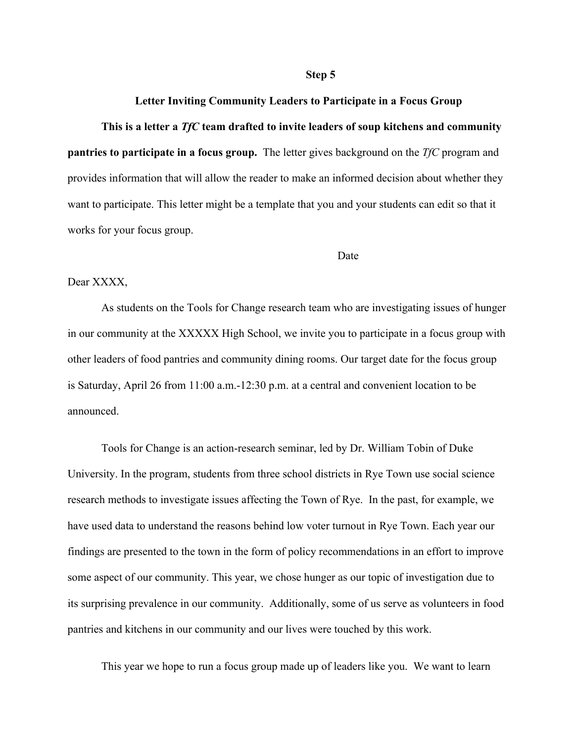### **Step 5**

## **Letter Inviting Community Leaders to Participate in a Focus Group**

### **This is a letter a** *TfC* **team drafted to invite leaders of soup kitchens and community**

**pantries to participate in a focus group.** The letter gives background on the *TfC* program and provides information that will allow the reader to make an informed decision about whether they want to participate. This letter might be a template that you and your students can edit so that it works for your focus group.

#### Date

# Dear XXXX,

As students on the Tools for Change research team who are investigating issues of hunger in our community at the XXXXX High School, we invite you to participate in a focus group with other leaders of food pantries and community dining rooms. Our target date for the focus group is Saturday, April 26 from 11:00 a.m.-12:30 p.m. at a central and convenient location to be announced.

Tools for Change is an action-research seminar, led by Dr. William Tobin of Duke University. In the program, students from three school districts in Rye Town use social science research methods to investigate issues affecting the Town of Rye. In the past, for example, we have used data to understand the reasons behind low voter turnout in Rye Town. Each year our findings are presented to the town in the form of policy recommendations in an effort to improve some aspect of our community. This year, we chose hunger as our topic of investigation due to its surprising prevalence in our community. Additionally, some of us serve as volunteers in food pantries and kitchens in our community and our lives were touched by this work.

This year we hope to run a focus group made up of leaders like you. We want to learn